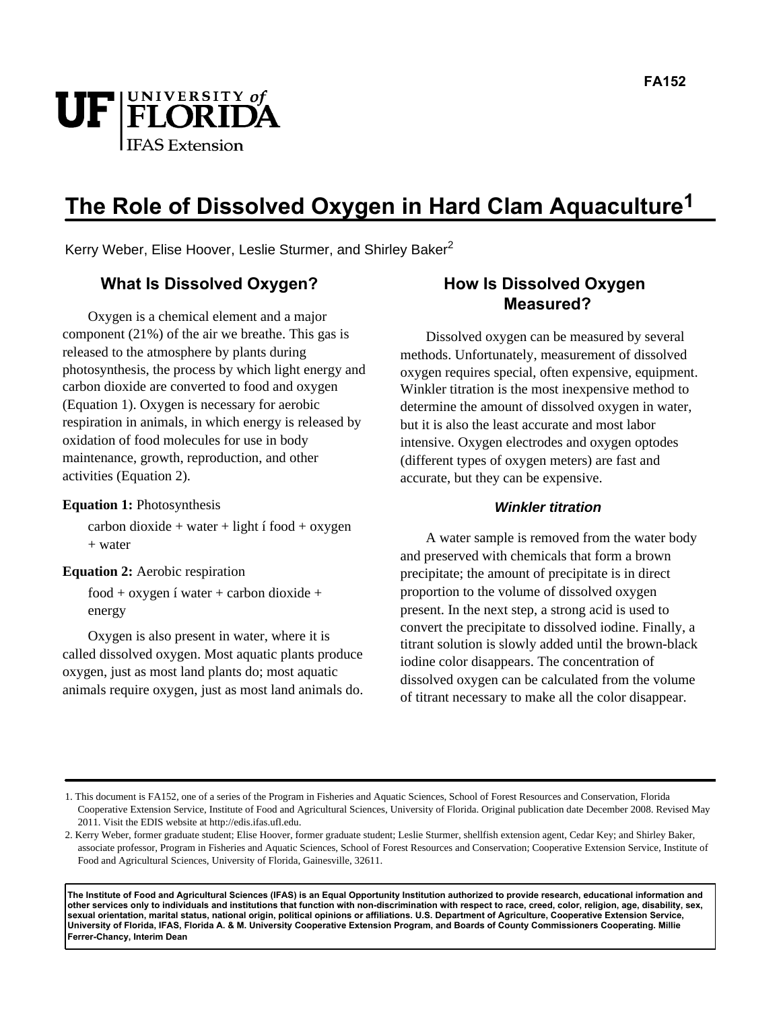

# **The Role of Dissolved Oxygen in Hard Clam Aquaculture1**

Kerry Weber, Elise Hoover, Leslie Sturmer, and Shirley Baker<sup>2</sup>

# **What Is Dissolved Oxygen?**

Oxygen is a chemical element and a major component (21%) of the air we breathe. This gas is released to the atmosphere by plants during photosynthesis, the process by which light energy and carbon dioxide are converted to food and oxygen (Equation 1). Oxygen is necessary for aerobic respiration in animals, in which energy is released by oxidation of food molecules for use in body maintenance, growth, reproduction, and other activities (Equation 2).

#### **Equation 1:** Photosynthesis

 $carbon dioxide + water + light$  í food + oxygen + water

#### **Equation 2:** Aerobic respiration

food + oxygen í water + carbon dioxide + energy

Oxygen is also present in water, where it is called dissolved oxygen. Most aquatic plants produce oxygen, just as most land plants do; most aquatic animals require oxygen, just as most land animals do.

# **How Is Dissolved Oxygen Measured?**

Dissolved oxygen can be measured by several methods. Unfortunately, measurement of dissolved oxygen requires special, often expensive, equipment. Winkler titration is the most inexpensive method to determine the amount of dissolved oxygen in water, but it is also the least accurate and most labor intensive. Oxygen electrodes and oxygen optodes (different types of oxygen meters) are fast and accurate, but they can be expensive.

### **Winkler titration**

A water sample is removed from the water body and preserved with chemicals that form a brown precipitate; the amount of precipitate is in direct proportion to the volume of dissolved oxygen present. In the next step, a strong acid is used to convert the precipitate to dissolved iodine. Finally, a titrant solution is slowly added until the brown-black iodine color disappears. The concentration of dissolved oxygen can be calculated from the volume of titrant necessary to make all the color disappear.

**The Institute of Food and Agricultural Sciences (IFAS) is an Equal Opportunity Institution authorized to provide research, educational information and other services only to individuals and institutions that function with non-discrimination with respect to race, creed, color, religion, age, disability, sex, sexual orientation, marital status, national origin, political opinions or affiliations. U.S. Department of Agriculture, Cooperative Extension Service, University of Florida, IFAS, Florida A. & M. University Cooperative Extension Program, and Boards of County Commissioners Cooperating. Millie Ferrer-Chancy, Interim Dean** 

<sup>1.</sup> This document is FA152, one of a series of the Program in Fisheries and Aquatic Sciences, School of Forest Resources and Conservation, Florida Cooperative Extension Service, Institute of Food and Agricultural Sciences, University of Florida. Original publication date December 2008. Revised May 2011. Visit the EDIS website at http://edis.ifas.ufl.edu.

<sup>2.</sup> Kerry Weber, former graduate student; Elise Hoover, former graduate student; Leslie Sturmer, shellfish extension agent, Cedar Key; and Shirley Baker, associate professor, Program in Fisheries and Aquatic Sciences, School of Forest Resources and Conservation; Cooperative Extension Service, Institute of Food and Agricultural Sciences, University of Florida, Gainesville, 32611.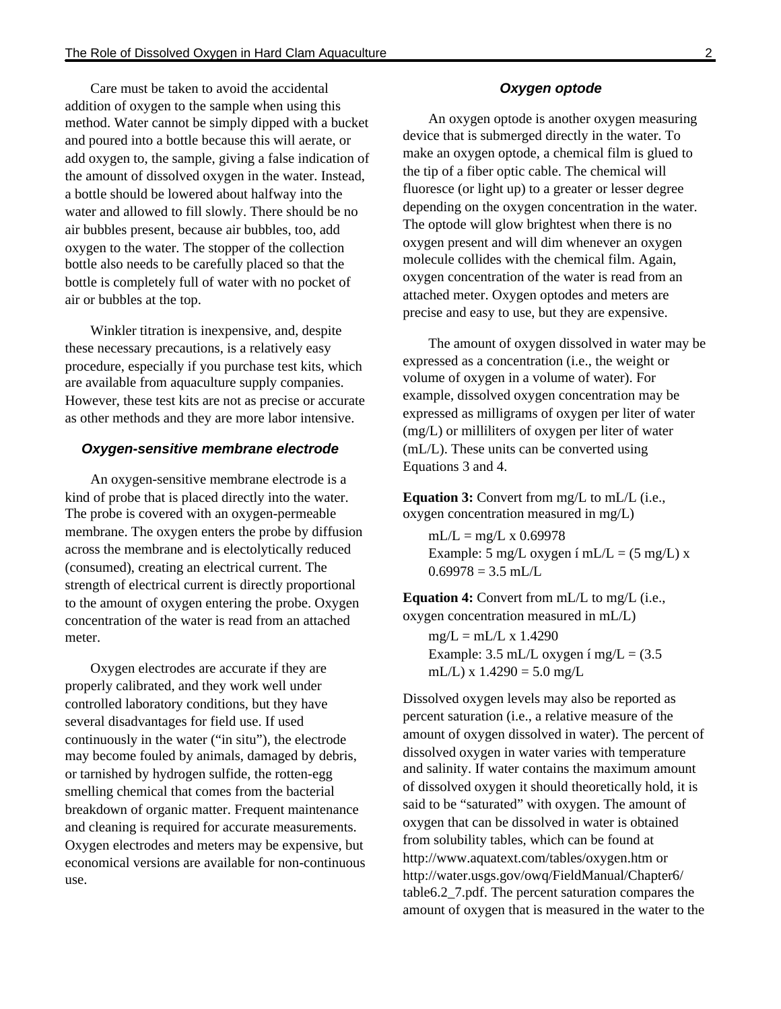Care must be taken to avoid the accidental addition of oxygen to the sample when using this method. Water cannot be simply dipped with a bucket and poured into a bottle because this will aerate, or add oxygen to, the sample, giving a false indication of the amount of dissolved oxygen in the water. Instead, a bottle should be lowered about halfway into the water and allowed to fill slowly. There should be no air bubbles present, because air bubbles, too, add oxygen to the water. The stopper of the collection bottle also needs to be carefully placed so that the bottle is completely full of water with no pocket of air or bubbles at the top.

Winkler titration is inexpensive, and, despite these necessary precautions, is a relatively easy procedure, especially if you purchase test kits, which are available from aquaculture supply companies. However, these test kits are not as precise or accurate as other methods and they are more labor intensive.

#### **Oxygen-sensitive membrane electrode**

An oxygen-sensitive membrane electrode is a kind of probe that is placed directly into the water. The probe is covered with an oxygen-permeable membrane. The oxygen enters the probe by diffusion across the membrane and is electolytically reduced (consumed), creating an electrical current. The strength of electrical current is directly proportional to the amount of oxygen entering the probe. Oxygen concentration of the water is read from an attached meter.

Oxygen electrodes are accurate if they are properly calibrated, and they work well under controlled laboratory conditions, but they have several disadvantages for field use. If used continuously in the water ("in situ"), the electrode may become fouled by animals, damaged by debris, or tarnished by hydrogen sulfide, the rotten-egg smelling chemical that comes from the bacterial breakdown of organic matter. Frequent maintenance and cleaning is required for accurate measurements. Oxygen electrodes and meters may be expensive, but economical versions are available for non-continuous use.

#### **Oxygen optode**

An oxygen optode is another oxygen measuring device that is submerged directly in the water. To make an oxygen optode, a chemical film is glued to the tip of a fiber optic cable. The chemical will fluoresce (or light up) to a greater or lesser degree depending on the oxygen concentration in the water. The optode will glow brightest when there is no oxygen present and will dim whenever an oxygen molecule collides with the chemical film. Again, oxygen concentration of the water is read from an attached meter. Oxygen optodes and meters are precise and easy to use, but they are expensive.

The amount of oxygen dissolved in water may be expressed as a concentration (i.e., the weight or volume of oxygen in a volume of water). For example, dissolved oxygen concentration may be expressed as milligrams of oxygen per liter of water (mg/L) or milliliters of oxygen per liter of water (mL/L). These units can be converted using Equations 3 and 4.

**Equation 3:** Convert from mg/L to mL/L (i.e., oxygen concentration measured in mg/L)

 $mL/L = mg/L \times 0.69978$ Example: 5 mg/L oxygen í mL/L = (5 mg/L) x  $0.69978 = 3.5$  mL/L

**Equation 4:** Convert from mL/L to mg/L (i.e., oxygen concentration measured in mL/L)

 $mg/L = mL/L \times 1.4290$ Example:  $3.5$  mL/L oxygen í mg/L =  $(3.5)$ mL/L) x  $1.4290 = 5.0$  mg/L

Dissolved oxygen levels may also be reported as percent saturation (i.e., a relative measure of the amount of oxygen dissolved in water). The percent of dissolved oxygen in water varies with temperature and salinity. If water contains the maximum amount of dissolved oxygen it should theoretically hold, it is said to be "saturated" with oxygen. The amount of oxygen that can be dissolved in water is obtained from solubility tables, which can be found at http://www.aquatext.com/tables/oxygen.htm or http://water.usgs.gov/owq/FieldManual/Chapter6/ table6.2\_7.pdf. The percent saturation compares the amount of oxygen that is measured in the water to the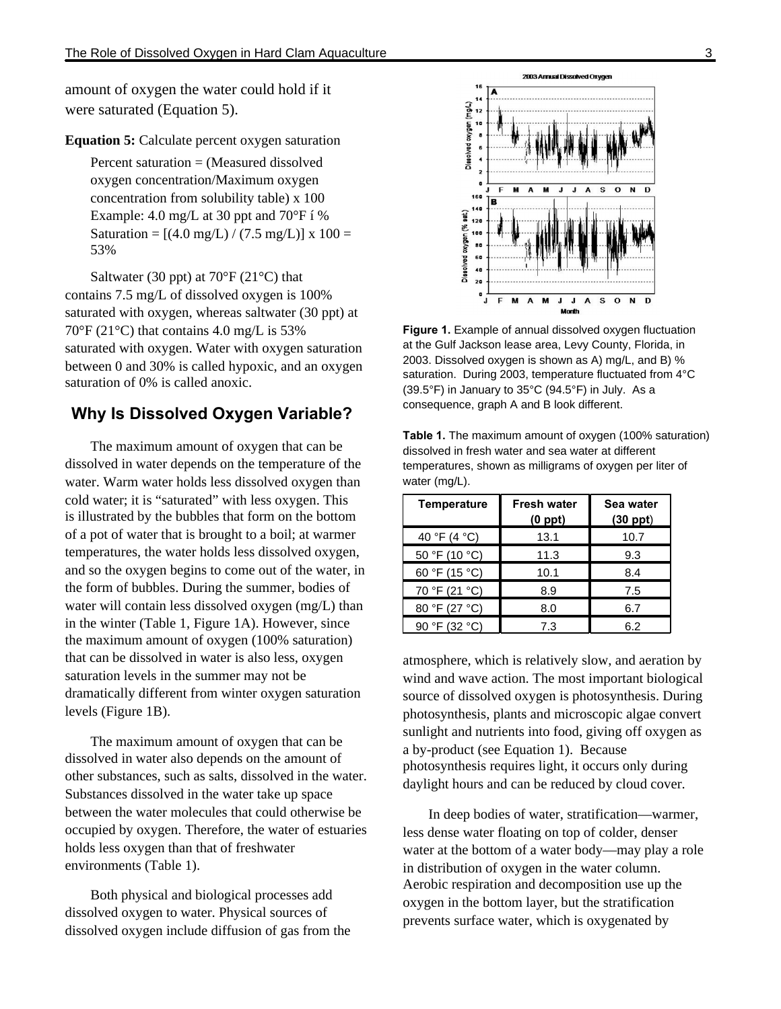amount of oxygen the water could hold if it were saturated (Equation 5).

**Equation 5:** Calculate percent oxygen saturation

Percent saturation = (Measured dissolved oxygen concentration/Maximum oxygen concentration from solubility table) x 100 Example: 4.0 mg/L at 30 ppt and 70°F í % Saturation =  $[(4.0 \text{ mg/L}) / (7.5 \text{ mg/L})] \times 100 =$ 53%

Saltwater (30 ppt) at  $70^{\circ}$ F (21 $^{\circ}$ C) that contains 7.5 mg/L of dissolved oxygen is 100% saturated with oxygen, whereas saltwater (30 ppt) at  $70^{\circ}$ F (21 $^{\circ}$ C) that contains 4.0 mg/L is 53% saturated with oxygen. Water with oxygen saturation between 0 and 30% is called hypoxic, and an oxygen saturation of 0% is called anoxic.

## **Why Is Dissolved Oxygen Variable?**

The maximum amount of oxygen that can be dissolved in water depends on the temperature of the water. Warm water holds less dissolved oxygen than cold water; it is "saturated" with less oxygen. This is illustrated by the bubbles that form on the bottom of a pot of water that is brought to a boil; at warmer temperatures, the water holds less dissolved oxygen, and so the oxygen begins to come out of the water, in the form of bubbles. During the summer, bodies of water will contain less dissolved oxygen (mg/L) than in the winter (Table 1, Figure 1A). However, since the maximum amount of oxygen (100% saturation) that can be dissolved in water is also less, oxygen saturation levels in the summer may not be dramatically different from winter oxygen saturation levels (Figure 1B).

The maximum amount of oxygen that can be dissolved in water also depends on the amount of other substances, such as salts, dissolved in the water. Substances dissolved in the water take up space between the water molecules that could otherwise be occupied by oxygen. Therefore, the water of estuaries holds less oxygen than that of freshwater environments (Table 1).

Both physical and biological processes add dissolved oxygen to water. Physical sources of dissolved oxygen include diffusion of gas from the



**Figure 1.** Example of annual dissolved oxygen fluctuation at the Gulf Jackson lease area, Levy County, Florida, in 2003. Dissolved oxygen is shown as A) mg/L, and B) % saturation. During 2003, temperature fluctuated from 4°C (39.5°F) in January to 35°C (94.5°F) in July. As a consequence, graph A and B look different.

| water $(mg/L)$ .   |                                    |                            |
|--------------------|------------------------------------|----------------------------|
| <b>Temperature</b> | <b>Fresh water</b><br>$(0$ ppt $)$ | Sea water<br>$(30$ ppt $)$ |
| 40 °F (4 °C)       | 13.1                               | 10.7                       |
| 50 °F (10 °C)      | 11.3                               | 9.3                        |
| 60 °F (15 °C)      | 10.1                               | 8.4                        |
| 70 °F (21 °C)      | 8.9                                | 7.5                        |
| 80 °F (27 °C)      | 8.0                                | 6.7                        |
| 90 °F (32 °C)      | 7.3                                | 6.2                        |

**Table 1.** The maximum amount of oxygen (100% saturation) dissolved in fresh water and sea water at different temperatures, shown as milligrams of oxygen per liter of

atmosphere, which is relatively slow, and aeration by wind and wave action. The most important biological source of dissolved oxygen is photosynthesis. During photosynthesis, plants and microscopic algae convert sunlight and nutrients into food, giving off oxygen as a by-product (see Equation 1). Because photosynthesis requires light, it occurs only during daylight hours and can be reduced by cloud cover.

In deep bodies of water, stratification—warmer, less dense water floating on top of colder, denser water at the bottom of a water body—may play a role in distribution of oxygen in the water column. Aerobic respiration and decomposition use up the oxygen in the bottom layer, but the stratification prevents surface water, which is oxygenated by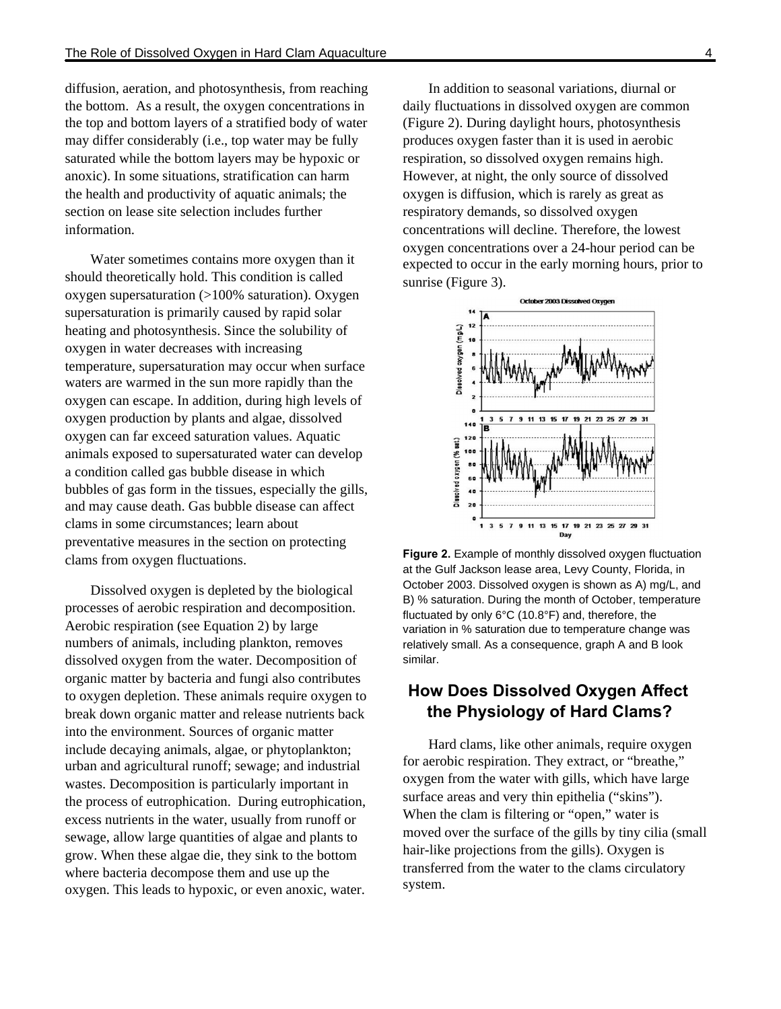diffusion, aeration, and photosynthesis, from reaching the bottom. As a result, the oxygen concentrations in the top and bottom layers of a stratified body of water may differ considerably (i.e., top water may be fully saturated while the bottom layers may be hypoxic or anoxic). In some situations, stratification can harm the health and productivity of aquatic animals; the section on lease site selection includes further information.

Water sometimes contains more oxygen than it should theoretically hold. This condition is called oxygen supersaturation (>100% saturation). Oxygen supersaturation is primarily caused by rapid solar heating and photosynthesis. Since the solubility of oxygen in water decreases with increasing temperature, supersaturation may occur when surface waters are warmed in the sun more rapidly than the oxygen can escape. In addition, during high levels of oxygen production by plants and algae, dissolved oxygen can far exceed saturation values. Aquatic animals exposed to supersaturated water can develop a condition called gas bubble disease in which bubbles of gas form in the tissues, especially the gills, and may cause death. Gas bubble disease can affect clams in some circumstances; learn about preventative measures in the section on protecting clams from oxygen fluctuations.

Dissolved oxygen is depleted by the biological processes of aerobic respiration and decomposition. Aerobic respiration (see Equation 2) by large numbers of animals, including plankton, removes dissolved oxygen from the water. Decomposition of organic matter by bacteria and fungi also contributes to oxygen depletion. These animals require oxygen to break down organic matter and release nutrients back into the environment. Sources of organic matter include decaying animals, algae, or phytoplankton; urban and agricultural runoff; sewage; and industrial wastes. Decomposition is particularly important in the process of eutrophication. During eutrophication, excess nutrients in the water, usually from runoff or sewage, allow large quantities of algae and plants to grow. When these algae die, they sink to the bottom where bacteria decompose them and use up the oxygen. This leads to hypoxic, or even anoxic, water.

In addition to seasonal variations, diurnal or daily fluctuations in dissolved oxygen are common (Figure 2). During daylight hours, photosynthesis produces oxygen faster than it is used in aerobic respiration, so dissolved oxygen remains high. However, at night, the only source of dissolved oxygen is diffusion, which is rarely as great as respiratory demands, so dissolved oxygen concentrations will decline. Therefore, the lowest oxygen concentrations over a 24-hour period can be expected to occur in the early morning hours, prior to sunrise (Figure 3).



**Figure 2.** Example of monthly dissolved oxygen fluctuation at the Gulf Jackson lease area, Levy County, Florida, in October 2003. Dissolved oxygen is shown as A) mg/L, and B) % saturation. During the month of October, temperature fluctuated by only 6°C (10.8°F) and, therefore, the variation in % saturation due to temperature change was relatively small. As a consequence, graph A and B look similar.

# **How Does Dissolved Oxygen Affect the Physiology of Hard Clams?**

Hard clams, like other animals, require oxygen for aerobic respiration. They extract, or "breathe," oxygen from the water with gills, which have large surface areas and very thin epithelia ("skins"). When the clam is filtering or "open," water is moved over the surface of the gills by tiny cilia (small hair-like projections from the gills). Oxygen is transferred from the water to the clams circulatory system.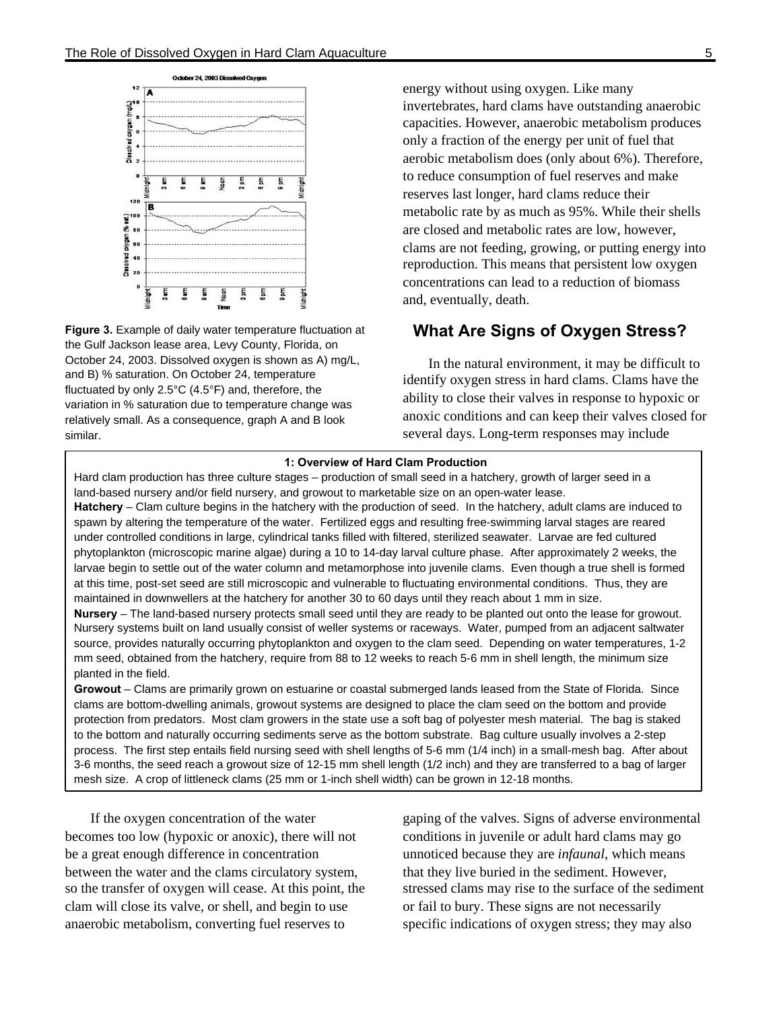

**Figure 3.** Example of daily water temperature fluctuation at the Gulf Jackson lease area, Levy County, Florida, on October 24, 2003. Dissolved oxygen is shown as A) mg/L. and B) % saturation. On October 24, temperature fluctuated by only 2.5°C (4.5°F) and, therefore, the variation in % saturation due to temperature change was relatively small. As a consequence, graph A and B look similar.

energy without using oxygen. Like many invertebrates, hard clams have outstanding anaerobic capacities. However, anaerobic metabolism produces only a fraction of the energy per unit of fuel that aerobic metabolism does (only about 6%). Therefore, to reduce consumption of fuel reserves and make reserves last longer, hard clams reduce their metabolic rate by as much as 95%. While their shells are closed and metabolic rates are low, however, clams are not feeding, growing, or putting energy into reproduction. This means that persistent low oxygen concentrations can lead to a reduction of biomass and, eventually, death.

# **What Are Signs of Oxygen Stress?**

In the natural environment, it may be difficult to identify oxygen stress in hard clams. Clams have the ability to close their valves in response to hypoxic or anoxic conditions and can keep their valves closed for several days. Long-term responses may include

#### **1: Overview of Hard Clam Production**

Hard clam production has three culture stages – production of small seed in a hatchery, growth of larger seed in a land-based nursery and/or field nursery, and growout to marketable size on an open-water lease. **Hatchery** – Clam culture begins in the hatchery with the production of seed. In the hatchery, adult clams are induced to

spawn by altering the temperature of the water. Fertilized eggs and resulting free-swimming larval stages are reared under controlled conditions in large, cylindrical tanks filled with filtered, sterilized seawater. Larvae are fed cultured phytoplankton (microscopic marine algae) during a 10 to 14-day larval culture phase. After approximately 2 weeks, the larvae begin to settle out of the water column and metamorphose into juvenile clams. Even though a true shell is formed at this time, post-set seed are still microscopic and vulnerable to fluctuating environmental conditions. Thus, they are maintained in downwellers at the hatchery for another 30 to 60 days until they reach about 1 mm in size.

**Nursery** – The land-based nursery protects small seed until they are ready to be planted out onto the lease for growout. Nursery systems built on land usually consist of weller systems or raceways. Water, pumped from an adjacent saltwater source, provides naturally occurring phytoplankton and oxygen to the clam seed. Depending on water temperatures, 1-2 mm seed, obtained from the hatchery, require from 88 to 12 weeks to reach 5-6 mm in shell length, the minimum size planted in the field.

**Growout** – Clams are primarily grown on estuarine or coastal submerged lands leased from the State of Florida. Since clams are bottom-dwelling animals, growout systems are designed to place the clam seed on the bottom and provide protection from predators. Most clam growers in the state use a soft bag of polyester mesh material. The bag is staked to the bottom and naturally occurring sediments serve as the bottom substrate. Bag culture usually involves a 2-step process. The first step entails field nursing seed with shell lengths of 5-6 mm (1/4 inch) in a small-mesh bag. After about 3-6 months, the seed reach a growout size of 12-15 mm shell length (1/2 inch) and they are transferred to a bag of larger mesh size. A crop of littleneck clams (25 mm or 1-inch shell width) can be grown in 12-18 months.

If the oxygen concentration of the water becomes too low (hypoxic or anoxic), there will not be a great enough difference in concentration between the water and the clams circulatory system, so the transfer of oxygen will cease. At this point, the clam will close its valve, or shell, and begin to use anaerobic metabolism, converting fuel reserves to

gaping of the valves. Signs of adverse environmental conditions in juvenile or adult hard clams may go unnoticed because they are *infaunal*, which means that they live buried in the sediment. However, stressed clams may rise to the surface of the sediment or fail to bury. These signs are not necessarily specific indications of oxygen stress; they may also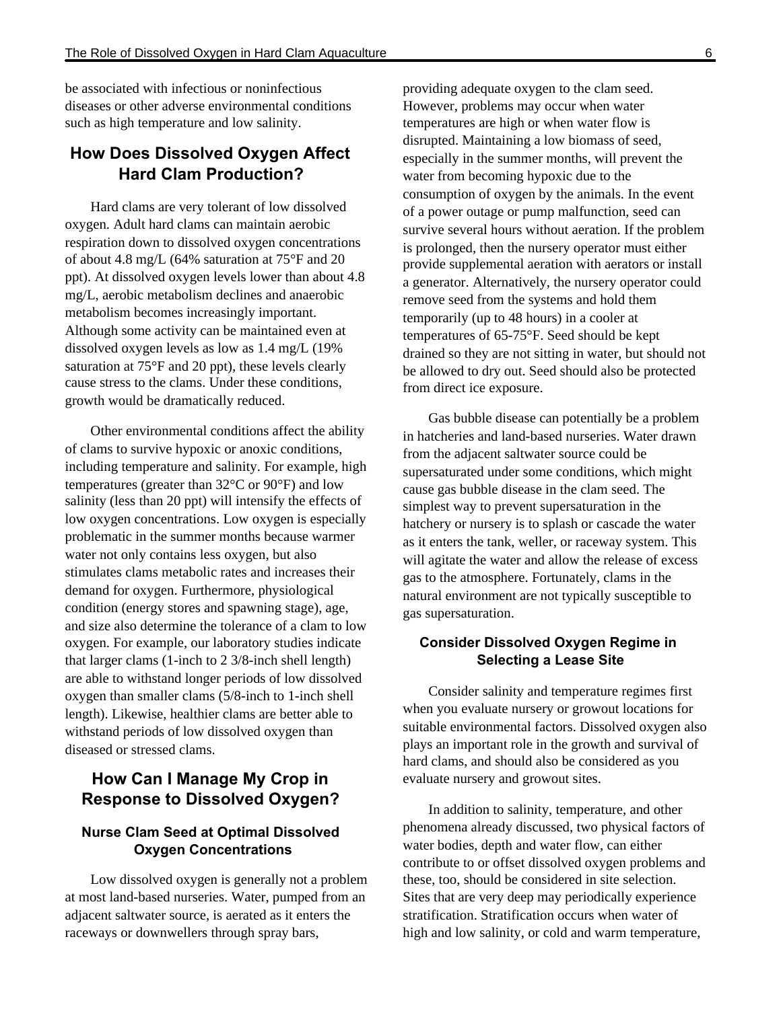be associated with infectious or noninfectious diseases or other adverse environmental conditions such as high temperature and low salinity.

# **How Does Dissolved Oxygen Affect Hard Clam Production?**

Hard clams are very tolerant of low dissolved oxygen. Adult hard clams can maintain aerobic respiration down to dissolved oxygen concentrations of about 4.8 mg/L (64% saturation at 75°F and 20 ppt). At dissolved oxygen levels lower than about 4.8 mg/L, aerobic metabolism declines and anaerobic metabolism becomes increasingly important. Although some activity can be maintained even at dissolved oxygen levels as low as 1.4 mg/L (19% saturation at 75°F and 20 ppt), these levels clearly cause stress to the clams. Under these conditions, growth would be dramatically reduced.

Other environmental conditions affect the ability of clams to survive hypoxic or anoxic conditions, including temperature and salinity. For example, high temperatures (greater than 32°C or 90°F) and low salinity (less than 20 ppt) will intensify the effects of low oxygen concentrations. Low oxygen is especially problematic in the summer months because warmer water not only contains less oxygen, but also stimulates clams metabolic rates and increases their demand for oxygen. Furthermore, physiological condition (energy stores and spawning stage), age, and size also determine the tolerance of a clam to low oxygen. For example, our laboratory studies indicate that larger clams (1-inch to 2 3/8-inch shell length) are able to withstand longer periods of low dissolved oxygen than smaller clams (5/8-inch to 1-inch shell length). Likewise, healthier clams are better able to withstand periods of low dissolved oxygen than diseased or stressed clams.

# **How Can I Manage My Crop in Response to Dissolved Oxygen?**

# **Nurse Clam Seed at Optimal Dissolved Oxygen Concentrations**

Low dissolved oxygen is generally not a problem at most land-based nurseries. Water, pumped from an adjacent saltwater source, is aerated as it enters the raceways or downwellers through spray bars,

providing adequate oxygen to the clam seed. However, problems may occur when water temperatures are high or when water flow is disrupted. Maintaining a low biomass of seed, especially in the summer months, will prevent the water from becoming hypoxic due to the consumption of oxygen by the animals. In the event of a power outage or pump malfunction, seed can survive several hours without aeration. If the problem is prolonged, then the nursery operator must either provide supplemental aeration with aerators or install a generator. Alternatively, the nursery operator could remove seed from the systems and hold them temporarily (up to 48 hours) in a cooler at temperatures of 65-75°F. Seed should be kept drained so they are not sitting in water, but should not be allowed to dry out. Seed should also be protected from direct ice exposure.

Gas bubble disease can potentially be a problem in hatcheries and land-based nurseries. Water drawn from the adjacent saltwater source could be supersaturated under some conditions, which might cause gas bubble disease in the clam seed. The simplest way to prevent supersaturation in the hatchery or nursery is to splash or cascade the water as it enters the tank, weller, or raceway system. This will agitate the water and allow the release of excess gas to the atmosphere. Fortunately, clams in the natural environment are not typically susceptible to gas supersaturation.

### **Consider Dissolved Oxygen Regime in Selecting a Lease Site**

Consider salinity and temperature regimes first when you evaluate nursery or growout locations for suitable environmental factors. Dissolved oxygen also plays an important role in the growth and survival of hard clams, and should also be considered as you evaluate nursery and growout sites.

In addition to salinity, temperature, and other phenomena already discussed, two physical factors of water bodies, depth and water flow, can either contribute to or offset dissolved oxygen problems and these, too, should be considered in site selection. Sites that are very deep may periodically experience stratification. Stratification occurs when water of high and low salinity, or cold and warm temperature,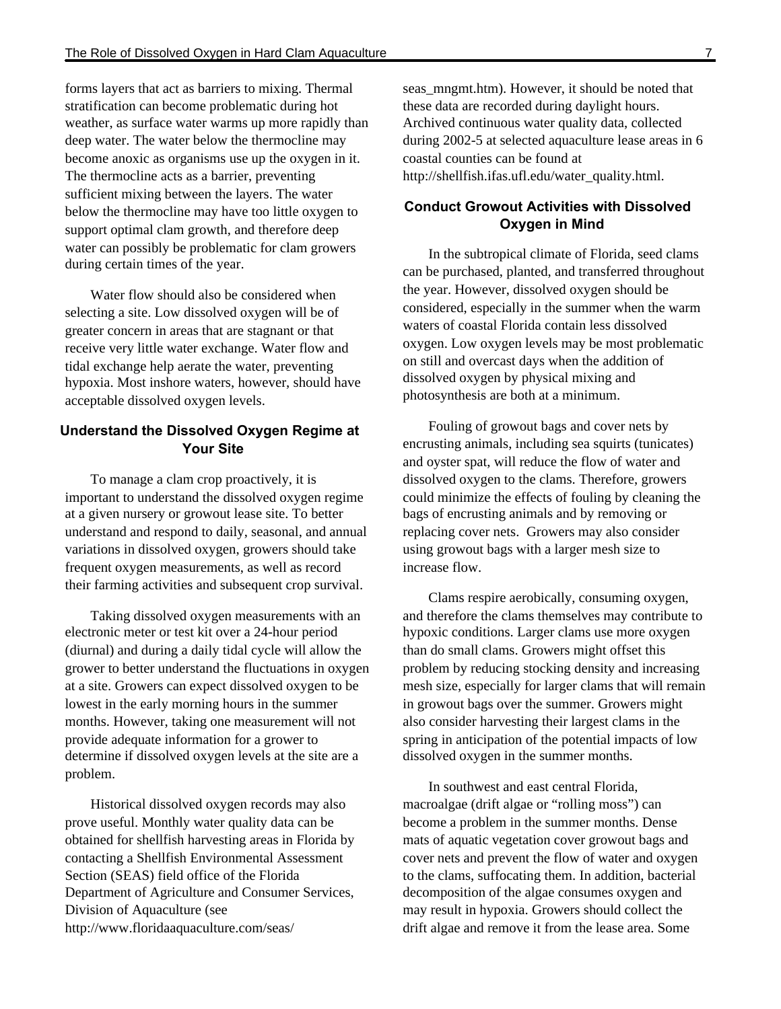forms layers that act as barriers to mixing. Thermal stratification can become problematic during hot weather, as surface water warms up more rapidly than deep water. The water below the thermocline may become anoxic as organisms use up the oxygen in it. The thermocline acts as a barrier, preventing sufficient mixing between the layers. The water below the thermocline may have too little oxygen to support optimal clam growth, and therefore deep water can possibly be problematic for clam growers during certain times of the year.

Water flow should also be considered when selecting a site. Low dissolved oxygen will be of greater concern in areas that are stagnant or that receive very little water exchange. Water flow and tidal exchange help aerate the water, preventing hypoxia. Most inshore waters, however, should have acceptable dissolved oxygen levels.

### **Understand the Dissolved Oxygen Regime at Your Site**

To manage a clam crop proactively, it is important to understand the dissolved oxygen regime at a given nursery or growout lease site. To better understand and respond to daily, seasonal, and annual variations in dissolved oxygen, growers should take frequent oxygen measurements, as well as record their farming activities and subsequent crop survival.

Taking dissolved oxygen measurements with an electronic meter or test kit over a 24-hour period (diurnal) and during a daily tidal cycle will allow the grower to better understand the fluctuations in oxygen at a site. Growers can expect dissolved oxygen to be lowest in the early morning hours in the summer months. However, taking one measurement will not provide adequate information for a grower to determine if dissolved oxygen levels at the site are a problem.

Historical dissolved oxygen records may also prove useful. Monthly water quality data can be obtained for shellfish harvesting areas in Florida by contacting a Shellfish Environmental Assessment Section (SEAS) field office of the Florida Department of Agriculture and Consumer Services, Division of Aquaculture (see http://www.floridaaquaculture.com/seas/

seas\_mngmt.htm). However, it should be noted that these data are recorded during daylight hours. Archived continuous water quality data, collected during 2002-5 at selected aquaculture lease areas in 6 coastal counties can be found at http://shellfish.ifas.ufl.edu/water\_quality.html.

### **Conduct Growout Activities with Dissolved Oxygen in Mind**

In the subtropical climate of Florida, seed clams can be purchased, planted, and transferred throughout the year. However, dissolved oxygen should be considered, especially in the summer when the warm waters of coastal Florida contain less dissolved oxygen. Low oxygen levels may be most problematic on still and overcast days when the addition of dissolved oxygen by physical mixing and photosynthesis are both at a minimum.

Fouling of growout bags and cover nets by encrusting animals, including sea squirts (tunicates) and oyster spat, will reduce the flow of water and dissolved oxygen to the clams. Therefore, growers could minimize the effects of fouling by cleaning the bags of encrusting animals and by removing or replacing cover nets. Growers may also consider using growout bags with a larger mesh size to increase flow.

Clams respire aerobically, consuming oxygen, and therefore the clams themselves may contribute to hypoxic conditions. Larger clams use more oxygen than do small clams. Growers might offset this problem by reducing stocking density and increasing mesh size, especially for larger clams that will remain in growout bags over the summer. Growers might also consider harvesting their largest clams in the spring in anticipation of the potential impacts of low dissolved oxygen in the summer months.

In southwest and east central Florida, macroalgae (drift algae or "rolling moss") can become a problem in the summer months. Dense mats of aquatic vegetation cover growout bags and cover nets and prevent the flow of water and oxygen to the clams, suffocating them. In addition, bacterial decomposition of the algae consumes oxygen and may result in hypoxia. Growers should collect the drift algae and remove it from the lease area. Some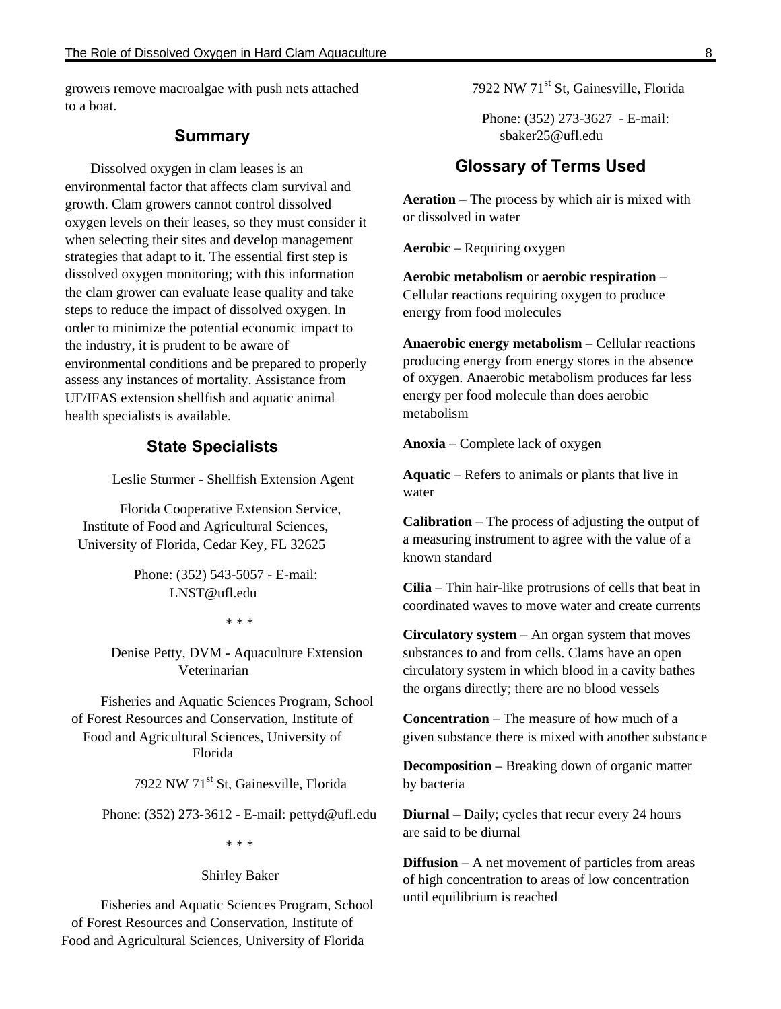growers remove macroalgae with push nets attached to a boat.

### **Summary**

Dissolved oxygen in clam leases is an environmental factor that affects clam survival and growth. Clam growers cannot control dissolved oxygen levels on their leases, so they must consider it when selecting their sites and develop management strategies that adapt to it. The essential first step is dissolved oxygen monitoring; with this information the clam grower can evaluate lease quality and take steps to reduce the impact of dissolved oxygen. In order to minimize the potential economic impact to the industry, it is prudent to be aware of environmental conditions and be prepared to properly assess any instances of mortality. Assistance from UF/IFAS extension shellfish and aquatic animal health specialists is available.

## **State Specialists**

Leslie Sturmer - Shellfish Extension Agent

 Florida Cooperative Extension Service, Institute of Food and Agricultural Sciences, University of Florida, Cedar Key, FL 32625

> Phone: (352) 543-5057 - E-mail: LNST@ufl.edu

> > \* \* \*

Denise Petty, DVM - Aquaculture Extension Veterinarian

Fisheries and Aquatic Sciences Program, School of Forest Resources and Conservation, Institute of Food and Agricultural Sciences, University of Florida

7922 NW 71<sup>st</sup> St, Gainesville, Florida

Phone: (352) 273-3612 - E-mail: pettyd@ufl.edu

\* \* \*

#### Shirley Baker

Fisheries and Aquatic Sciences Program, School of Forest Resources and Conservation, Institute of Food and Agricultural Sciences, University of Florida

7922 NW 71<sup>st</sup> St, Gainesville, Florida

Phone: (352) 273-3627 - E-mail: sbaker25@ufl.edu

# **Glossary of Terms Used**

**Aeration** – The process by which air is mixed with or dissolved in water

**Aerobic** – Requiring oxygen

**Aerobic metabolism** or **aerobic respiration** – Cellular reactions requiring oxygen to produce energy from food molecules

**Anaerobic energy metabolism** – Cellular reactions producing energy from energy stores in the absence of oxygen. Anaerobic metabolism produces far less energy per food molecule than does aerobic metabolism

**Anoxia** – Complete lack of oxygen

**Aquatic** – Refers to animals or plants that live in water

**Calibration** – The process of adjusting the output of a measuring instrument to agree with the value of a known standard

**Cilia** – Thin hair-like protrusions of cells that beat in coordinated waves to move water and create currents

**Circulatory system** – An organ system that moves substances to and from cells. Clams have an open circulatory system in which blood in a cavity bathes the organs directly; there are no blood vessels

**Concentration** – The measure of how much of a given substance there is mixed with another substance

**Decomposition** – Breaking down of organic matter by bacteria

**Diurnal** – Daily; cycles that recur every 24 hours are said to be diurnal

**Diffusion** – A net movement of particles from areas of high concentration to areas of low concentration until equilibrium is reached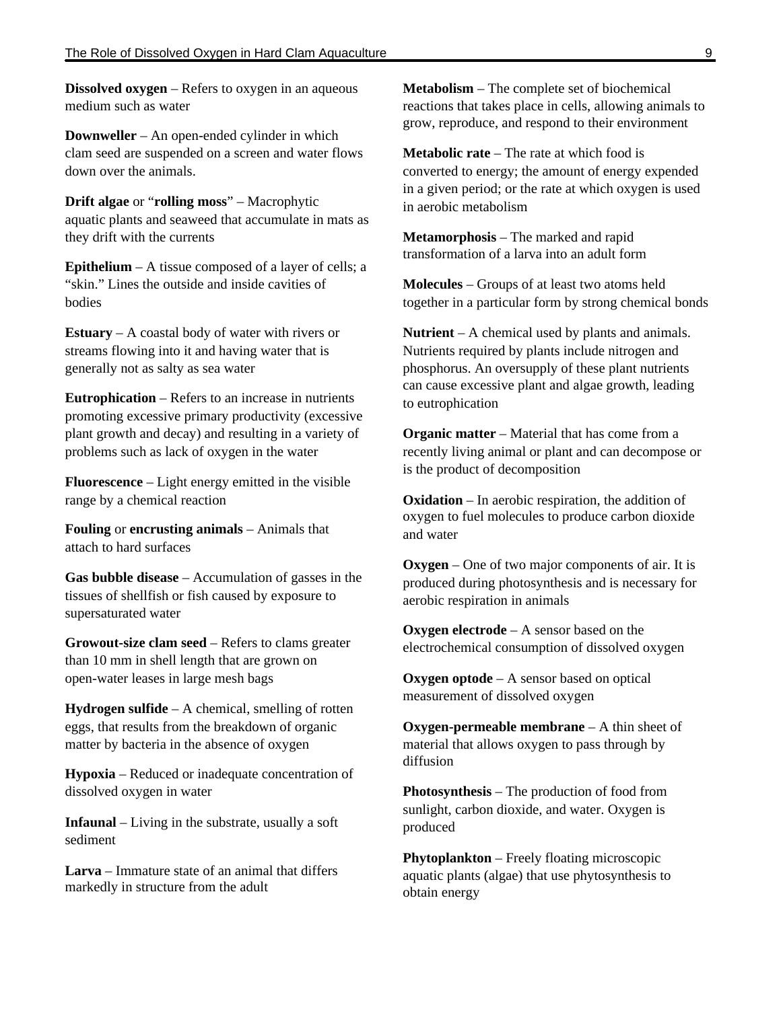**Dissolved oxygen** – Refers to oxygen in an aqueous medium such as water

**Downweller** – An open-ended cylinder in which clam seed are suspended on a screen and water flows down over the animals.

**Drift algae** or "**rolling moss**" – Macrophytic aquatic plants and seaweed that accumulate in mats as they drift with the currents

**Epithelium** – A tissue composed of a layer of cells; a "skin." Lines the outside and inside cavities of bodies

**Estuary** – A coastal body of water with rivers or streams flowing into it and having water that is generally not as salty as sea water

**Eutrophication** – Refers to an increase in nutrients promoting excessive primary productivity (excessive plant growth and decay) and resulting in a variety of problems such as lack of oxygen in the water

**Fluorescence** – Light energy emitted in the visible range by a chemical reaction

**Fouling** or **encrusting animals** – Animals that attach to hard surfaces

**Gas bubble disease** – Accumulation of gasses in the tissues of shellfish or fish caused by exposure to supersaturated water

**Growout-size clam seed** – Refers to clams greater than 10 mm in shell length that are grown on open-water leases in large mesh bags

**Hydrogen sulfide** – A chemical, smelling of rotten eggs, that results from the breakdown of organic matter by bacteria in the absence of oxygen

**Hypoxia** – Reduced or inadequate concentration of dissolved oxygen in water

**Infaunal** – Living in the substrate, usually a soft sediment

**Larva** – Immature state of an animal that differs markedly in structure from the adult

**Metabolism** – The complete set of biochemical reactions that takes place in cells, allowing animals to grow, reproduce, and respond to their environment

**Metabolic rate** – The rate at which food is converted to energy; the amount of energy expended in a given period; or the rate at which oxygen is used in aerobic metabolism

**Metamorphosis** – The marked and rapid transformation of a larva into an adult form

**Molecules** – Groups of at least two atoms held together in a particular form by strong chemical bonds

**Nutrient** – A chemical used by plants and animals. Nutrients required by plants include nitrogen and phosphorus. An oversupply of these plant nutrients can cause excessive plant and algae growth, leading to eutrophication

**Organic matter** – Material that has come from a recently living animal or plant and can decompose or is the product of decomposition

**Oxidation** – In aerobic respiration, the addition of oxygen to fuel molecules to produce carbon dioxide and water

**Oxygen** – One of two major components of air. It is produced during photosynthesis and is necessary for aerobic respiration in animals

**Oxygen electrode** – A sensor based on the electrochemical consumption of dissolved oxygen

**Oxygen optode** – A sensor based on optical measurement of dissolved oxygen

**Oxygen-permeable membrane** – A thin sheet of material that allows oxygen to pass through by diffusion

**Photosynthesis** – The production of food from sunlight, carbon dioxide, and water. Oxygen is produced

**Phytoplankton** – Freely floating microscopic aquatic plants (algae) that use phytosynthesis to obtain energy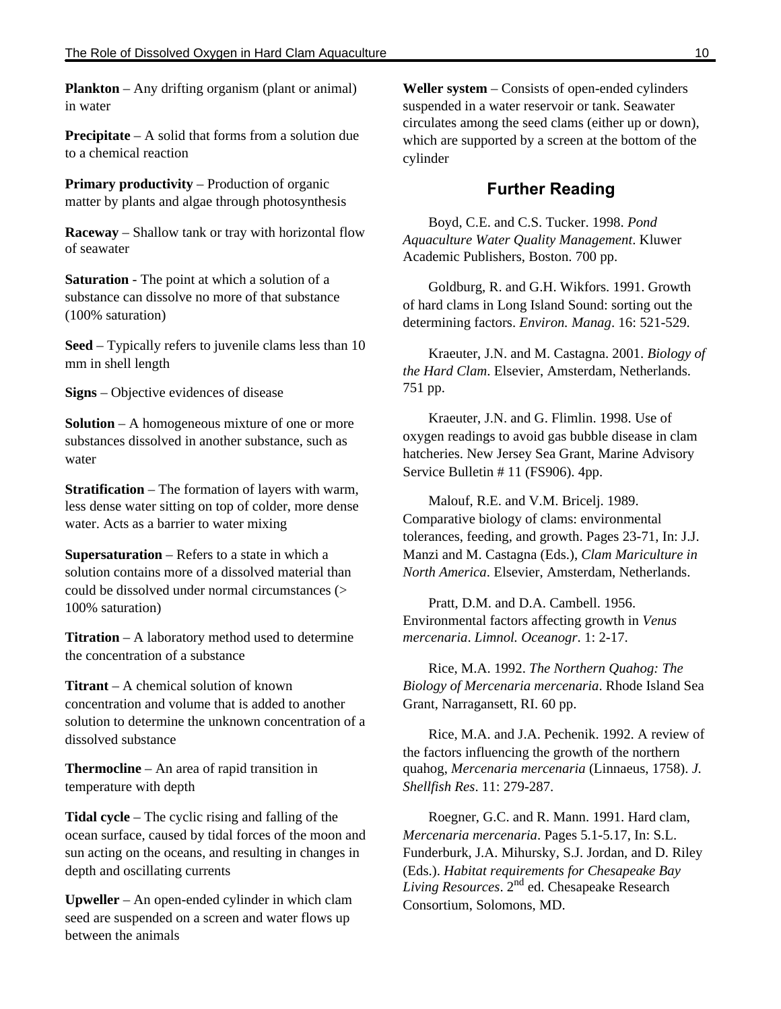**Plankton** – Any drifting organism (plant or animal) in water

**Precipitate** – A solid that forms from a solution due to a chemical reaction

**Primary productivity** – Production of organic matter by plants and algae through photosynthesis

**Raceway** – Shallow tank or tray with horizontal flow of seawater

**Saturation** - The point at which a solution of a substance can dissolve no more of that substance (100% saturation)

**Seed** – Typically refers to juvenile clams less than 10 mm in shell length

**Signs** – Objective evidences of disease

**Solution** – A homogeneous mixture of one or more substances dissolved in another substance, such as water

**Stratification** – The formation of layers with warm, less dense water sitting on top of colder, more dense water. Acts as a barrier to water mixing

**Supersaturation** – Refers to a state in which a solution contains more of a dissolved material than could be dissolved under normal circumstances (> 100% saturation)

**Titration** – A laboratory method used to determine the concentration of a substance

**Titrant** – A chemical solution of known concentration and volume that is added to another solution to determine the unknown concentration of a dissolved substance

**Thermocline** – An area of rapid transition in temperature with depth

**Tidal cycle** – The cyclic rising and falling of the ocean surface, caused by tidal forces of the moon and sun acting on the oceans, and resulting in changes in depth and oscillating currents

**Upweller** – An open-ended cylinder in which clam seed are suspended on a screen and water flows up between the animals

**Weller system** – Consists of open-ended cylinders suspended in a water reservoir or tank. Seawater circulates among the seed clams (either up or down), which are supported by a screen at the bottom of the cylinder

## **Further Reading**

Boyd, C.E. and C.S. Tucker. 1998. *Pond Aquaculture Water Quality Management*. Kluwer Academic Publishers, Boston. 700 pp.

Goldburg, R. and G.H. Wikfors. 1991. Growth of hard clams in Long Island Sound: sorting out the determining factors. *Environ. Manag*. 16: 521-529.

Kraeuter, J.N. and M. Castagna. 2001. *Biology of the Hard Clam*. Elsevier, Amsterdam, Netherlands. 751 pp.

Kraeuter, J.N. and G. Flimlin. 1998. Use of oxygen readings to avoid gas bubble disease in clam hatcheries. New Jersey Sea Grant, Marine Advisory Service Bulletin # 11 (FS906). 4pp.

Malouf, R.E. and V.M. Bricelj. 1989. Comparative biology of clams: environmental tolerances, feeding, and growth. Pages 23-71, In: J.J. Manzi and M. Castagna (Eds.), *Clam Mariculture in North America*. Elsevier, Amsterdam, Netherlands.

Pratt, D.M. and D.A. Cambell. 1956. Environmental factors affecting growth in *Venus mercenaria*. *Limnol. Oceanogr*. 1: 2-17.

Rice, M.A. 1992. *The Northern Quahog: The Biology of Mercenaria mercenaria*. Rhode Island Sea Grant, Narragansett, RI. 60 pp.

Rice, M.A. and J.A. Pechenik. 1992. A review of the factors influencing the growth of the northern quahog, *Mercenaria mercenaria* (Linnaeus, 1758). *J. Shellfish Res*. 11: 279-287.

Roegner, G.C. and R. Mann. 1991. Hard clam, *Mercenaria mercenaria*. Pages 5.1-5.17, In: S.L. Funderburk, J.A. Mihursky, S.J. Jordan, and D. Riley (Eds.). *Habitat requirements for Chesapeake Bay Living Resources*. 2nd ed. Chesapeake Research Consortium, Solomons, MD.